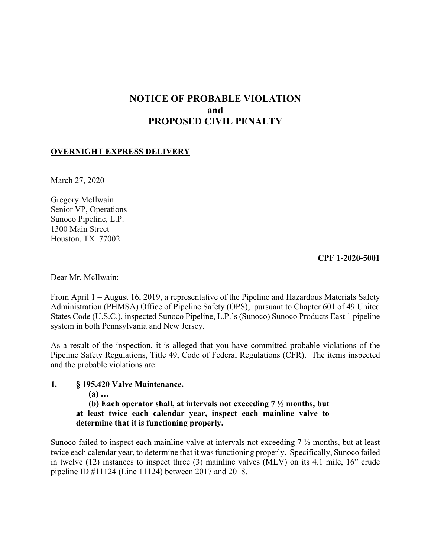# **NOTICE OF PROBABLE VIOLATION and PROPOSED CIVIL PENALTY**

# **OVERNIGHT EXPRESS DELIVERY**

March 27, 2020

Gregory McIlwain Senior VP, Operations Sunoco Pipeline, L.P. 1300 Main Street Houston, TX 77002

**CPF 1-2020-5001** 

Dear Mr. McIlwain:

From April 1 – August 16, 2019, a representative of the Pipeline and Hazardous Materials Safety Administration (PHMSA) Office of Pipeline Safety (OPS), pursuant to Chapter 601 of 49 United States Code (U.S.C.), inspected Sunoco Pipeline, L.P.'s (Sunoco) Sunoco Products East 1 pipeline system in both Pennsylvania and New Jersey.

As a result of the inspection, it is alleged that you have committed probable violations of the Pipeline Safety Regulations, Title 49, Code of Federal Regulations (CFR). The items inspected and the probable violations are:

# **1. § 195.420 Valve Maintenance.**

**(a) …** 

**(b) Each operator shall, at intervals not exceeding 7 ½ months, but at least twice each calendar year, inspect each mainline valve to determine that it is functioning properly.** 

Sunoco failed to inspect each mainline valve at intervals not exceeding 7 ½ months, but at least twice each calendar year, to determine that it was functioning properly. Specifically, Sunoco failed in twelve (12) instances to inspect three (3) mainline valves (MLV) on its 4.1 mile, 16" crude pipeline ID #11124 (Line 11124) between 2017 and 2018.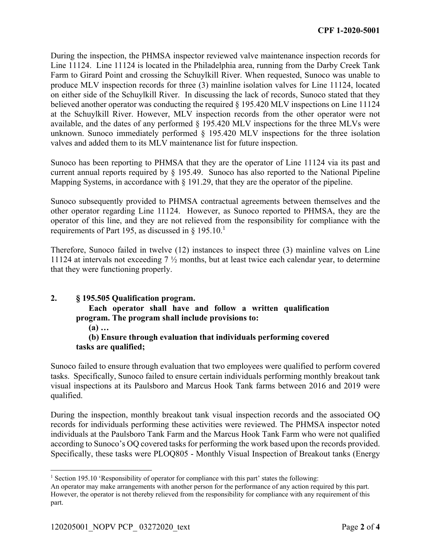During the inspection, the PHMSA inspector reviewed valve maintenance inspection records for Line 11124. Line 11124 is located in the Philadelphia area, running from the Darby Creek Tank Farm to Girard Point and crossing the Schuylkill River. When requested, Sunoco was unable to produce MLV inspection records for three (3) mainline isolation valves for Line 11124, located on either side of the Schuylkill River. In discussing the lack of records, Sunoco stated that they believed another operator was conducting the required § 195.420 MLV inspections on Line 11124 at the Schuylkill River. However, MLV inspection records from the other operator were not available, and the dates of any performed § 195.420 MLV inspections for the three MLVs were unknown. Sunoco immediately performed § 195.420 MLV inspections for the three isolation valves and added them to its MLV maintenance list for future inspection.

Sunoco has been reporting to PHMSA that they are the operator of Line 11124 via its past and current annual reports required by § 195.49. Sunoco has also reported to the National Pipeline Mapping Systems, in accordance with § 191.29, that they are the operator of the pipeline.

Sunoco subsequently provided to PHMSA contractual agreements between themselves and the other operator regarding Line 11124. However, as Sunoco reported to PHMSA, they are the operator of this line, and they are not relieved from the responsibility for compliance with the requirements of Part 195, as discussed in § 195.10.<sup>1</sup>

Therefore, Sunoco failed in twelve (12) instances to inspect three (3) mainline valves on Line 11124 at intervals not exceeding 7 ½ months, but at least twice each calendar year, to determine that they were functioning properly.

# **2. § 195.505 Qualification program. Each operator shall have and follow a written qualification program. The program shall include provisions to: (a) … (b) Ensure through evaluation that individuals performing covered**

# **tasks are qualified;**

Sunoco failed to ensure through evaluation that two employees were qualified to perform covered tasks. Specifically, Sunoco failed to ensure certain individuals performing monthly breakout tank visual inspections at its Paulsboro and Marcus Hook Tank farms between 2016 and 2019 were qualified.

according to Sunoco's OQ covered tasks for performing the work based upon the records provided. During the inspection, monthly breakout tank visual inspection records and the associated OQ records for individuals performing these activities were reviewed. The PHMSA inspector noted individuals at the Paulsboro Tank Farm and the Marcus Hook Tank Farm who were not qualified Specifically, these tasks were PLOQ805 - Monthly Visual Inspection of Breakout tanks (Energy

<sup>1</sup> <sup>1</sup> Section 195.10 'Responsibility of operator for compliance with this part' states the following:

An operator may make arrangements with another person for the performance of any action required by this part. However, the operator is not thereby relieved from the responsibility for compliance with any requirement of this part.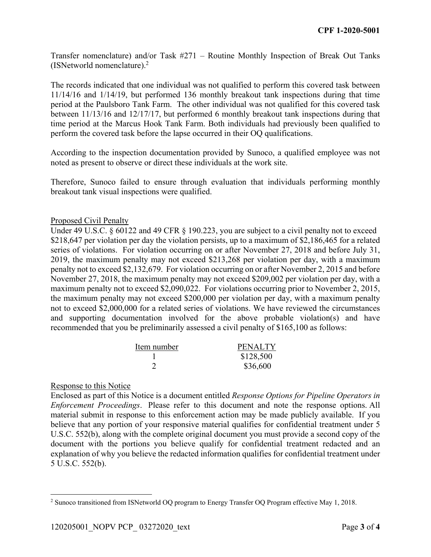Transfer nomenclature) and/or Task #271 – Routine Monthly Inspection of Break Out Tanks (ISNetworld nomenclature).2

The records indicated that one individual was not qualified to perform this covered task between 11/14/16 and 1/14/19, but performed 136 monthly breakout tank inspections during that time period at the Paulsboro Tank Farm. The other individual was not qualified for this covered task between 11/13/16 and 12/17/17, but performed 6 monthly breakout tank inspections during that time period at the Marcus Hook Tank Farm. Both individuals had previously been qualified to perform the covered task before the lapse occurred in their OQ qualifications.

According to the inspection documentation provided by Sunoco, a qualified employee was not noted as present to observe or direct these individuals at the work site.

Therefore, Sunoco failed to ensure through evaluation that individuals performing monthly breakout tank visual inspections were qualified.

# Proposed Civil Penalty

Under 49 U.S.C. § 60122 and 49 CFR § 190.223, you are subject to a civil penalty not to exceed \$218,647 per violation per day the violation persists, up to a maximum of \$2,186,465 for a related series of violations. For violation occurring on or after November 27, 2018 and before July 31, 2019, the maximum penalty may not exceed \$213,268 per violation per day, with a maximum penalty not to exceed \$2,132,679. For violation occurring on or after November 2, 2015 and before November 27, 2018, the maximum penalty may not exceed \$209,002 per violation per day, with a maximum penalty not to exceed \$2,090,022. For violations occurring prior to November 2, 2015, the maximum penalty may not exceed \$200,000 per violation per day, with a maximum penalty not to exceed \$2,000,000 for a related series of violations. We have reviewed the circumstances and supporting documentation involved for the above probable violation(s) and have recommended that you be preliminarily assessed a civil penalty of \$165,100 as follows:

| Item number | <b>PENALTY</b> |
|-------------|----------------|
|             | \$128,500      |
|             | \$36,600       |

# Response to this Notice

Enclosed as part of this Notice is a document entitled *Response Options for Pipeline Operators in Enforcement Proceedings*. Please refer to this document and note the response options. All material submit in response to this enforcement action may be made publicly available. If you believe that any portion of your responsive material qualifies for confidential treatment under 5 U.S.C. 552(b), along with the complete original document you must provide a second copy of the document with the portions you believe qualify for confidential treatment redacted and an explanation of why you believe the redacted information qualifies for confidential treatment under 5 U.S.C. 552(b).

 $\overline{a}$ 2 Sunoco transitioned from ISNetworld OQ program to Energy Transfer OQ Program effective May 1, 2018.